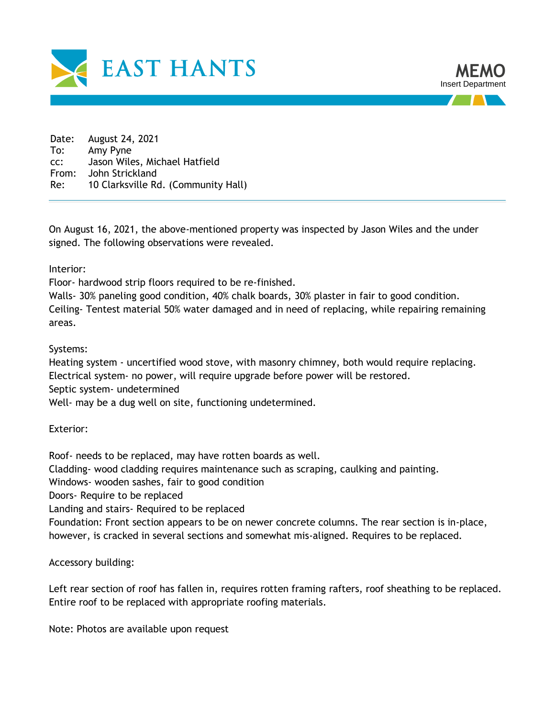



Date: August 24, 2021 To: Amy Pyne cc: Jason Wiles, Michael Hatfield From: John Strickland Re: 10 Clarksville Rd. (Community Hall)

On August 16, 2021, the above-mentioned property was inspected by Jason Wiles and the under signed. The following observations were revealed.

Interior:

Floor- hardwood strip floors required to be re-finished.

Walls- 30% paneling good condition, 40% chalk boards, 30% plaster in fair to good condition. Ceiling- Tentest material 50% water damaged and in need of replacing, while repairing remaining areas.

Systems:

Heating system - uncertified wood stove, with masonry chimney, both would require replacing. Electrical system- no power, will require upgrade before power will be restored. Septic system- undetermined

Well- may be a dug well on site, functioning undetermined.

Exterior:

Roof- needs to be replaced, may have rotten boards as well.

Cladding- wood cladding requires maintenance such as scraping, caulking and painting.

Windows- wooden sashes, fair to good condition

Doors- Require to be replaced

Landing and stairs- Required to be replaced

Foundation: Front section appears to be on newer concrete columns. The rear section is in-place, however, is cracked in several sections and somewhat mis-aligned. Requires to be replaced.

Accessory building:

Left rear section of roof has fallen in, requires rotten framing rafters, roof sheathing to be replaced. Entire roof to be replaced with appropriate roofing materials.

Note: Photos are available upon request